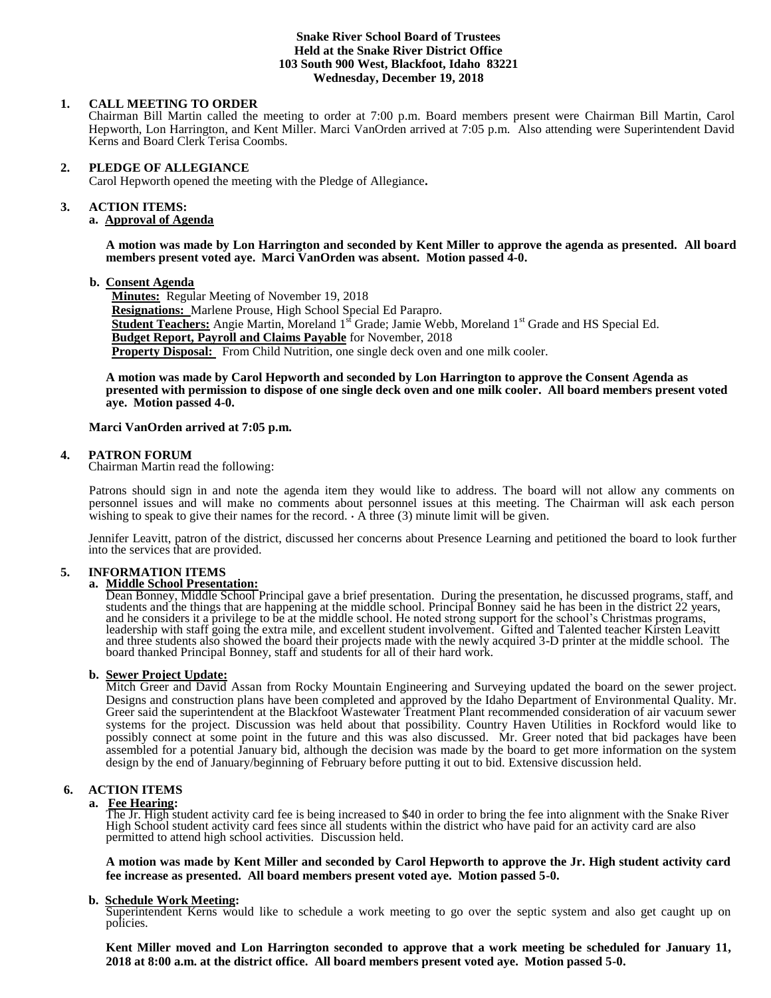## **Snake River School Board of Trustees Held at the Snake River District Office 103 South 900 West, Blackfoot, Idaho 83221 Wednesday, December 19, 2018**

## **1. CALL MEETING TO ORDER**

Chairman Bill Martin called the meeting to order at 7:00 p.m. Board members present were Chairman Bill Martin, Carol Hepworth, Lon Harrington, and Kent Miller. Marci VanOrden arrived at 7:05 p.m. Also attending were Superintendent David Kerns and Board Clerk Terisa Coombs.

#### **2. PLEDGE OF ALLEGIANCE**

Carol Hepworth opened the meeting with the Pledge of Allegiance**.** 

# **3. ACTION ITEMS:**

# **a. Approval of Agenda**

**A motion was made by Lon Harrington and seconded by Kent Miller to approve the agenda as presented. All board members present voted aye. Marci VanOrden was absent. Motion passed 4-0.**

#### **b. Consent Agenda**

**Minutes:** Regular Meeting of November 19, 2018 **Resignations:** Marlene Prouse, High School Special Ed Parapro. **Student Teachers:** Angie Martin, Moreland 1<sup>st</sup> Grade; Jamie Webb, Moreland 1<sup>st</sup> Grade and HS Special Ed. **Budget Report, Payroll and Claims Payable** for November, 2018 **Property Disposal:** From Child Nutrition, one single deck oven and one milk cooler.

**A motion was made by Carol Hepworth and seconded by Lon Harrington to approve the Consent Agenda as presented with permission to dispose of one single deck oven and one milk cooler. All board members present voted aye. Motion passed 4-0.** 

#### **Marci VanOrden arrived at 7:05 p.m.**

#### **4. PATRON FORUM**

Chairman Martin read the following:

Patrons should sign in and note the agenda item they would like to address. The board will not allow any comments on personnel issues and will make no comments about personnel issues at this meeting. The Chairman will ask each person wishing to speak to give their names for the record.  $\cdot$  A three (3) minute limit will be given.

Jennifer Leavitt, patron of the district, discussed her concerns about Presence Learning and petitioned the board to look further into the services that are provided.

## **5. INFORMATION ITEMS**

## **a. Middle School Presentation:**

Dean Bonney, Middle School Principal gave a brief presentation. During the presentation, he discussed programs, staff, and students and the things that are happening at the middle school. Principal Bonney said he has been in the district 22 years, and he considers it a privilege to be at the middle school. He noted strong support for the school's Christmas programs, leadership with staff going the extra mile, and excellent student involvement. Gifted and Talented teacher Kirsten Leavitt and three students also showed the board their projects made with the newly acquired 3-D printer at the middle school. The board thanked Principal Bonney, staff and students for all of their hard work.

### **b. Sewer Project Update:**

Mitch Greer and David Assan from Rocky Mountain Engineering and Surveying updated the board on the sewer project. Designs and construction plans have been completed and approved by the Idaho Department of Environmental Quality. Mr. Greer said the superintendent at the Blackfoot Wastewater Treatment Plant recommended consideration of air vacuum sewer systems for the project. Discussion was held about that possibility. Country Haven Utilities in Rockford would like to possibly connect at some point in the future and this was also discussed. Mr. Greer noted that bid packages have been assembled for a potential January bid, although the decision was made by the board to get more information on the system design by the end of January/beginning of February before putting it out to bid. Extensive discussion held.

### **6. ACTION ITEMS**

#### **a. Fee Hearing:**

The Jr. High student activity card fee is being increased to \$40 in order to bring the fee into alignment with the Snake River High School student activity card fees since all students within the district who have paid for an activity card are also permitted to attend high school activities. Discussion held.

**A motion was made by Kent Miller and seconded by Carol Hepworth to approve the Jr. High student activity card fee increase as presented. All board members present voted aye. Motion passed 5-0.**

### **b. Schedule Work Meeting:**

Superintendent Kerns would like to schedule a work meeting to go over the septic system and also get caught up on policies.

**Kent Miller moved and Lon Harrington seconded to approve that a work meeting be scheduled for January 11, 2018 at 8:00 a.m. at the district office. All board members present voted aye. Motion passed 5-0.**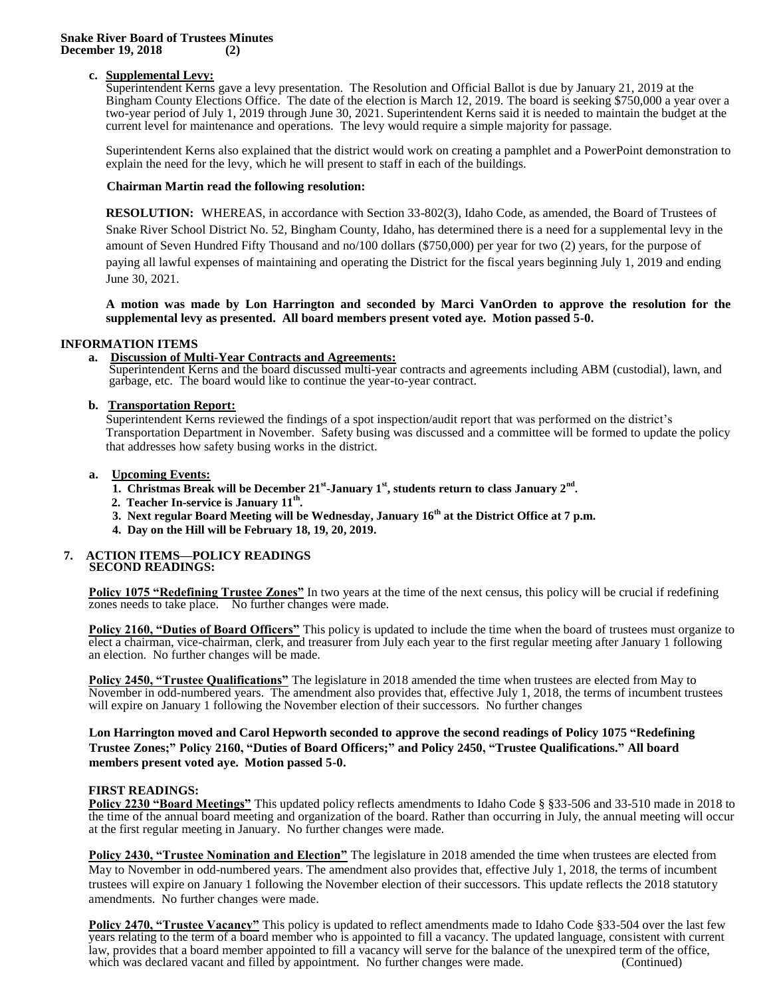#### **Snake River Board of Trustees Minutes December 19, 2018 (2)**

### **c. Supplemental Levy:**

Superintendent Kerns gave a levy presentation. The Resolution and Official Ballot is due by January 21, 2019 at the Bingham County Elections Office. The date of the election is March 12, 2019. The board is seeking \$750,000 a year over a two-year period of July 1, 2019 through June 30, 2021. Superintendent Kerns said it is needed to maintain the budget at the current level for maintenance and operations. The levy would require a simple majority for passage.

Superintendent Kerns also explained that the district would work on creating a pamphlet and a PowerPoint demonstration to explain the need for the levy, which he will present to staff in each of the buildings.

#### **Chairman Martin read the following resolution:**

**RESOLUTION:** WHEREAS, in accordance with Section 33-802(3), Idaho Code, as amended, the Board of Trustees of Snake River School District No. 52, Bingham County, Idaho, has determined there is a need for a supplemental levy in the amount of Seven Hundred Fifty Thousand and no/100 dollars (\$750,000) per year for two (2) years, for the purpose of paying all lawful expenses of maintaining and operating the District for the fiscal years beginning July 1, 2019 and ending June 30, 2021.

**A motion was made by Lon Harrington and seconded by Marci VanOrden to approve the resolution for the supplemental levy as presented. All board members present voted aye. Motion passed 5-0.** 

### **INFORMATION ITEMS**

### **a. Discussion of Multi-Year Contracts and Agreements:**

Superintendent Kerns and the board discussed multi-year contracts and agreements including ABM (custodial), lawn, and garbage, etc. The board would like to continue the year-to-year contract.

### **b. Transportation Report:**

Superintendent Kerns reviewed the findings of a spot inspection/audit report that was performed on the district's Transportation Department in November. Safety busing was discussed and a committee will be formed to update the policy that addresses how safety busing works in the district.

### **a. Upcoming Events:**

- 1. Christmas Break will be December 21<sup>st</sup>-January 1<sup>st</sup>, students return to class January 2<sup>nd</sup>.
- **2. Teacher In-service is January 11th .**
	- **3. Next regular Board Meeting will be Wednesday, January 16th at the District Office at 7 p.m.**
	- **4. Day on the Hill will be February 18, 19, 20, 2019.**

#### **7. ACTION ITEMS—POLICY READINGS SECOND READINGS:**

**Policy 1075 "Redefining Trustee Zones"** In two years at the time of the next census, this policy will be crucial if redefining zones needs to take place. No further changes were made.

**Policy 2160, "Duties of Board Officers"** This policy is updated to include the time when the board of trustees must organize to elect a chairman, vice-chairman, clerk, and treasurer from July each year to the first regular meeting after January 1 following an election. No further changes will be made.

**Policy 2450, "Trustee Qualifications"** The legislature in 2018 amended the time when trustees are elected from May to November in odd-numbered years. The amendment also provides that, effective July 1, 2018, the terms of incumbent trustees will expire on January 1 following the November election of their successors. No further changes

**Lon Harrington moved and Carol Hepworth seconded to approve the second readings of Policy 1075 "Redefining Trustee Zones;" Policy 2160, "Duties of Board Officers;" and Policy 2450, "Trustee Qualifications." All board members present voted aye. Motion passed 5-0.**

### **FIRST READINGS:**

**Policy 2230 "Board Meetings"** This updated policy reflects amendments to Idaho Code § §33-506 and 33-510 made in 2018 to the time of the annual board meeting and organization of the board. Rather than occurring in July, the annual meeting will occur at the first regular meeting in January. No further changes were made.

**Policy 2430, "Trustee Nomination and Election"** The legislature in 2018 amended the time when trustees are elected from May to November in odd-numbered years. The amendment also provides that, effective July 1, 2018, the terms of incumbent trustees will expire on January 1 following the November election of their successors. This update reflects the 2018 statutory amendments. No further changes were made.

**Policy 2470, "Trustee Vacancy"** This policy is updated to reflect amendments made to Idaho Code §33-504 over the last few years relating to the term of a board member who is appointed to fill a vacancy. The updated language, consistent with current law, provides that a board member appointed to fill a vacancy will serve for the balance of the unexpired term of the office, which was declared vacant and filled by appointment. No further changes were made. (Continued)